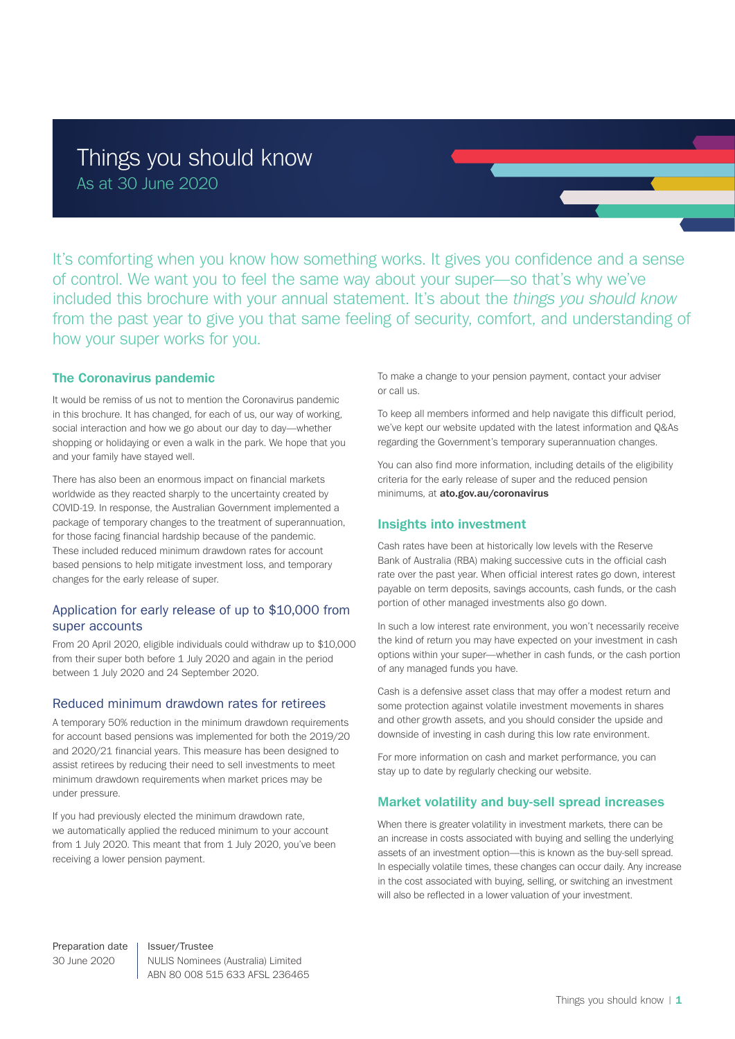It's comforting when you know how something works. It gives you confidence and a sense of control. We want you to feel the same way about your super—so that's why we've included this brochure with your annual statement. It's about the *things you should know* from the past year to give you that same feeling of security, comfort, and understanding of how your super works for you.

## **The Coronavirus pandemic**

It would be remiss of us not to mention the Coronavirus pandemic in this brochure. It has changed, for each of us, our way of working, social interaction and how we go about our day to day—whether shopping or holidaying or even a walk in the park. We hope that you and your family have stayed well.

There has also been an enormous impact on financial markets worldwide as they reacted sharply to the uncertainty created by COVID-19. In response, the Australian Government implemented a package of temporary changes to the treatment of superannuation, for those facing financial hardship because of the pandemic. These included reduced minimum drawdown rates for account based pensions to help mitigate investment loss, and temporary changes for the early release of super.

# Application for early release of up to \$10,000 from super accounts

From 20 April 2020, eligible individuals could withdraw up to \$10,000 from their super both before 1 July 2020 and again in the period between 1 July 2020 and 24 September 2020.

### Reduced minimum drawdown rates for retirees

A temporary 50% reduction in the minimum drawdown requirements for account based pensions was implemented for both the 2019/20 and 2020/21 financial years. This measure has been designed to assist retirees by reducing their need to sell investments to meet minimum drawdown requirements when market prices may be under pressure.

If you had previously elected the minimum drawdown rate, we automatically applied the reduced minimum to your account from 1 July 2020. This meant that from 1 July 2020, you've been receiving a lower pension payment.

To make a change to your pension payment, contact your adviser or call us.

To keep all members informed and help navigate this difficult period, we've kept our website updated with the latest information and Q&As regarding the Government's temporary superannuation changes.

You can also find more information, including details of the eligibility criteria for the early release of super and the reduced pension minimums, at **[ato.gov.au/coronavirus](http://ato.gov.au/coronavirus)**

# **Insights into investment**

Cash rates have been at historically low levels with the Reserve Bank of Australia (RBA) making successive cuts in the official cash rate over the past year. When official interest rates go down, interest payable on term deposits, savings accounts, cash funds, or the cash portion of other managed investments also go down.

In such a low interest rate environment, you won't necessarily receive the kind of return you may have expected on your investment in cash options within your super—whether in cash funds, or the cash portion of any managed funds you have.

Cash is a defensive asset class that may offer a modest return and some protection against volatile investment movements in shares and other growth assets, and you should consider the upside and downside of investing in cash during this low rate environment.

For more information on cash and market performance, you can stay up to date by regularly checking our website.

# **Market volatility and buy-sell spread increases**

When there is greater volatility in investment markets, there can be an increase in costs associated with buying and selling the underlying assets of an investment option—this is known as the buy-sell spread. In especially volatile times, these changes can occur daily. Any increase in the cost associated with buying, selling, or switching an investment will also be reflected in a lower valuation of your investment.

Preparation date 30 June 2020 Issuer/Trustee NULIS Nominees (Australia) Limited ABN 80 008 515 633 AFSL 236465